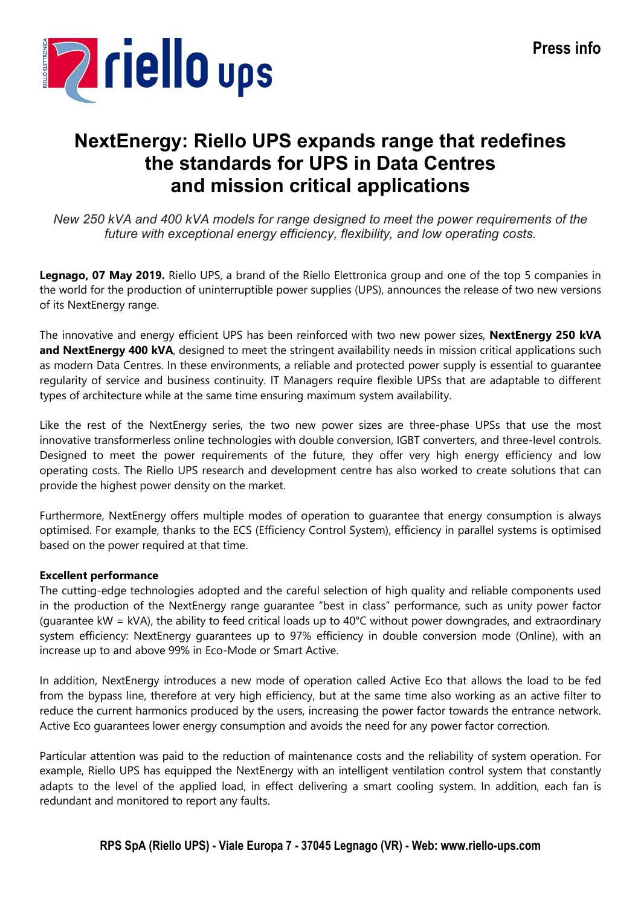

# NextEnergy: Riello UPS expands range that redefines the standards for UPS in Data Centres and mission critical applications

New 250 kVA and 400 kVA models for range designed to meet the power requirements of the future with exceptional energy efficiency, flexibility, and low operating costs.

Legnago, 07 May 2019. Riello UPS, a brand of the Riello Elettronica group and one of the top 5 companies in the world for the production of uninterruptible power supplies (UPS), announces the release of two new versions of its NextEnergy range.

The innovative and energy efficient UPS has been reinforced with two new power sizes, NextEnergy 250 kVA and NextEnergy 400 kVA, designed to meet the stringent availability needs in mission critical applications such as modern Data Centres. In these environments, a reliable and protected power supply is essential to guarantee regularity of service and business continuity. IT Managers require flexible UPSs that are adaptable to different types of architecture while at the same time ensuring maximum system availability.

Like the rest of the NextEnergy series, the two new power sizes are three-phase UPSs that use the most innovative transformerless online technologies with double conversion, IGBT converters, and three-level controls. Designed to meet the power requirements of the future, they offer very high energy efficiency and low operating costs. The Riello UPS research and development centre has also worked to create solutions that can provide the highest power density on the market.

Furthermore, NextEnergy offers multiple modes of operation to guarantee that energy consumption is always optimised. For example, thanks to the ECS (Efficiency Control System), efficiency in parallel systems is optimised based on the power required at that time.

## Excellent performance

The cutting-edge technologies adopted and the careful selection of high quality and reliable components used in the production of the NextEnergy range guarantee "best in class" performance, such as unity power factor (guarantee kW = kVA), the ability to feed critical loads up to 40°C without power downgrades, and extraordinary system efficiency: NextEnergy guarantees up to 97% efficiency in double conversion mode (Online), with an increase up to and above 99% in Eco-Mode or Smart Active.

In addition, NextEnergy introduces a new mode of operation called Active Eco that allows the load to be fed from the bypass line, therefore at very high efficiency, but at the same time also working as an active filter to reduce the current harmonics produced by the users, increasing the power factor towards the entrance network. Active Eco guarantees lower energy consumption and avoids the need for any power factor correction.

Particular attention was paid to the reduction of maintenance costs and the reliability of system operation. For example, Riello UPS has equipped the NextEnergy with an intelligent ventilation control system that constantly adapts to the level of the applied load, in effect delivering a smart cooling system. In addition, each fan is redundant and monitored to report any faults.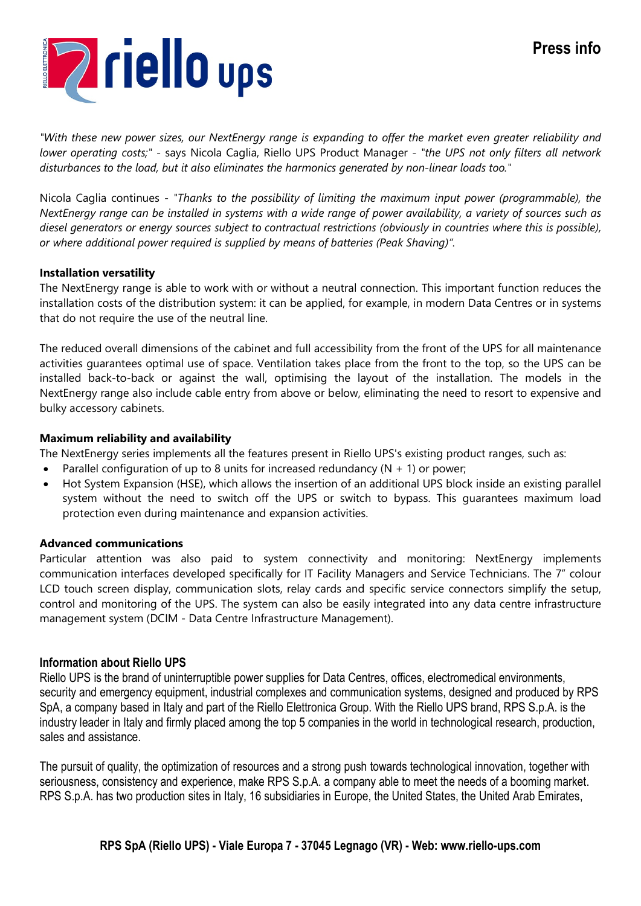# Press info



"With these new power sizes, our NextEnergy range is expanding to offer the market even greater reliability and lower operating costs;" - says Nicola Caglia, Riello UPS Product Manager - "the UPS not only filters all network disturbances to the load, but it also eliminates the harmonics generated by non-linear loads too."

Nicola Caglia continues - "Thanks to the possibility of limiting the maximum input power (programmable), the NextEnergy range can be installed in systems with a wide range of power availability, a variety of sources such as diesel generators or energy sources subject to contractual restrictions (obviously in countries where this is possible), or where additional power required is supplied by means of batteries (Peak Shaving)".

#### Installation versatility

The NextEnergy range is able to work with or without a neutral connection. This important function reduces the installation costs of the distribution system: it can be applied, for example, in modern Data Centres or in systems that do not require the use of the neutral line.

The reduced overall dimensions of the cabinet and full accessibility from the front of the UPS for all maintenance activities guarantees optimal use of space. Ventilation takes place from the front to the top, so the UPS can be installed back-to-back or against the wall, optimising the layout of the installation. The models in the NextEnergy range also include cable entry from above or below, eliminating the need to resort to expensive and bulky accessory cabinets.

#### Maximum reliability and availability

The NextEnergy series implements all the features present in Riello UPS's existing product ranges, such as:

- Parallel configuration of up to 8 units for increased redundancy  $(N + 1)$  or power;
- Hot System Expansion (HSE), which allows the insertion of an additional UPS block inside an existing parallel system without the need to switch off the UPS or switch to bypass. This guarantees maximum load protection even during maintenance and expansion activities.

#### Advanced communications

Particular attention was also paid to system connectivity and monitoring: NextEnergy implements communication interfaces developed specifically for IT Facility Managers and Service Technicians. The 7" colour LCD touch screen display, communication slots, relay cards and specific service connectors simplify the setup, control and monitoring of the UPS. The system can also be easily integrated into any data centre infrastructure management system (DCIM - Data Centre Infrastructure Management).

#### Information about Riello UPS

Riello UPS is the brand of uninterruptible power supplies for Data Centres, offices, electromedical environments, security and emergency equipment, industrial complexes and communication systems, designed and produced by RPS SpA, a company based in Italy and part of the Riello Elettronica Group. With the Riello UPS brand, RPS S.p.A. is the industry leader in Italy and firmly placed among the top 5 companies in the world in technological research, production, sales and assistance.

The pursuit of quality, the optimization of resources and a strong push towards technological innovation, together with seriousness, consistency and experience, make RPS S.p.A. a company able to meet the needs of a booming market. RPS S.p.A. has two production sites in Italy, 16 subsidiaries in Europe, the United States, the United Arab Emirates,